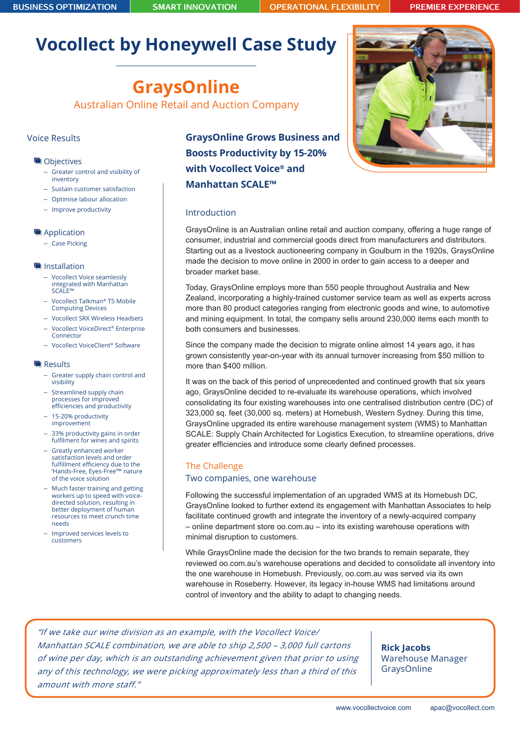# **Vocollect by Honeywell Case Study**

# **GraysOnline**

Australian Online Retail and Auction Company

## Voice Results

#### **Objectives**

- Greater control and visibility of inventory
- Sustain customer satisfaction
- Optimise labour allocation
- Improve productivity

#### **Application**

– Case Picking

#### **Installation**

- Vocollect Voice seamlessly integrated with Manhattan SCALE™
- Vocollect Talkman® T5 Mobile Computing Devices
- Vocollect SRX Wireless Headsets
- Vocollect VoiceDirect® Enterprise Connector
- Vocollect VoiceClient® Software

#### **Results**

- Greater supply chain control and visibility
- Streamlined supply chain processes for improved efficiencies and productivity
- 15-20% productivity improvement
- 33% productivity gains in order fulfilment for wines and spirits
- Greatly enhanced worker satisfaction levels and order fulfillment efficiency due to the 'Hands-Free, Eyes-Free'™ nature of the voice solution
- Much faster training and getting workers up to speed with voicedirected solution, resulting in better deployment of human resources to meet crunch time needs
- Improved services levels to customers

**GraysOnline Grows Business and Boosts Productivity by 15-20% with Vocollect Voice® and Manhattan SCALE™**





### Introduction

GraysOnline is an Australian online retail and auction company, offering a huge range of consumer, industrial and commercial goods direct from manufacturers and distributors. Starting out as a livestock auctioneering company in Goulburn in the 1920s, GraysOnline made the decision to move online in 2000 in order to gain access to a deeper and broader market base.

Today, GraysOnline employs more than 550 people throughout Australia and New Zealand, incorporating a highly-trained customer service team as well as experts across more than 80 product categories ranging from electronic goods and wine, to automotive and mining equipment. In total, the company sells around 230,000 items each month to both consumers and businesses.

Since the company made the decision to migrate online almost 14 years ago, it has grown consistently year-on-year with its annual turnover increasing from \$50 million to more than \$400 million.

It was on the back of this period of unprecedented and continued growth that six years ago, GraysOnline decided to re-evaluate its warehouse operations, which involved consolidating its four existing warehouses into one centralised distribution centre (DC) of 323,000 sq. feet (30,000 sq. meters) at Homebush, Western Sydney. During this time, GraysOnline upgraded its entire warehouse management system (WMS) to Manhattan SCALE: Supply Chain Architected for Logistics Execution, to streamline operations, drive greater efficiencies and introduce some clearly defined processes.

# The Challenge Two companies, one warehouse

Following the successful implementation of an upgraded WMS at its Homebush DC, GraysOnline looked to further extend its engagement with Manhattan Associates to help facilitate continued growth and integrate the inventory of a newly-acquired company – online department store oo.com.au – into its existing warehouse operations with minimal disruption to customers.

While GraysOnline made the decision for the two brands to remain separate, they reviewed oo.com.au's warehouse operations and decided to consolidate all inventory into the one warehouse in Homebush. Previously, oo.com.au was served via its own warehouse in Roseberry. However, its legacy in-house WMS had limitations around control of inventory and the ability to adapt to changing needs.

"If we take our wine division as an example, with the Vocollect Voice/ Manhattan SCALE combination, we are able to ship 2,500 – 3,000 full cartons of wine per day, which is an outstanding achievement given that prior to using any of this technology, we were picking approximately less than a third of this amount with more staff."

**Rick Jacobs** Warehouse Manager GraysOnline